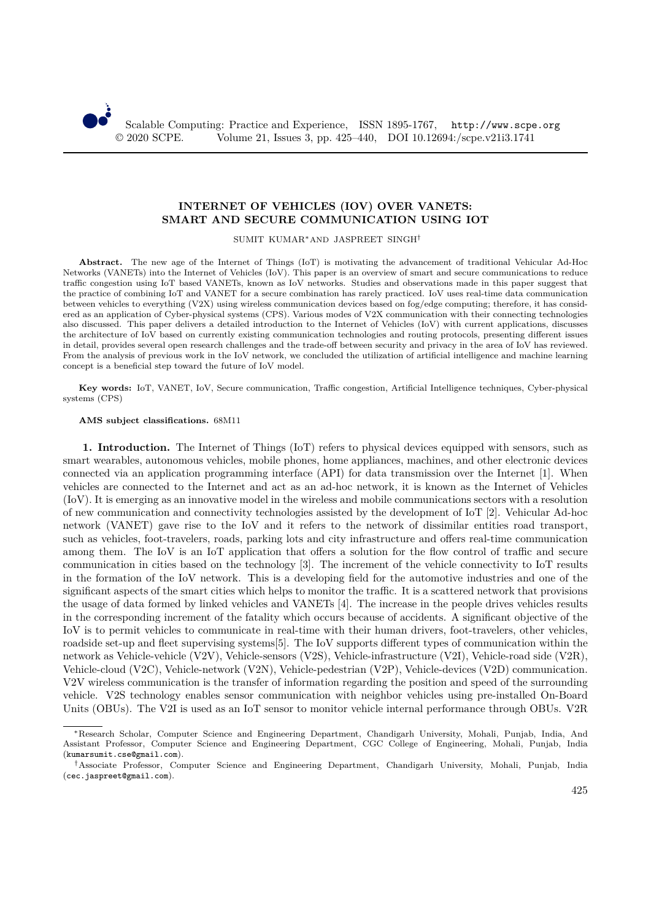

# **INTERNET OF VEHICLES (IOV) OVER VANETS: SMART AND SECURE COMMUNICATION USING IOT**

SUMIT KUMAR∗AND JASPREET SINGH†

**Abstract.** The new age of the Internet of Things (IoT) is motivating the advancement of traditional Vehicular Ad-Hoc Networks (VANETs) into the Internet of Vehicles (IoV). This paper is an overview of smart and secure communications to reduce traffic congestion using IoT based VANETs, known as IoV networks. Studies and observations made in this paper suggest that the practice of combining IoT and VANET for a secure combination has rarely practiced. IoV uses real-time data communication between vehicles to everything (V2X) using wireless communication devices based on fog/edge computing; therefore, it has considered as an application of Cyber-physical systems (CPS). Various modes of V2X communication with their connecting technologies also discussed. This paper delivers a detailed introduction to the Internet of Vehicles (IoV) with current applications, discusses the architecture of IoV based on currently existing communication technologies and routing protocols, presenting different issues in detail, provides several open research challenges and the trade-off between security and privacy in the area of IoV has reviewed. From the analysis of previous work in the IoV network, we concluded the utilization of artificial intelligence and machine learning concept is a beneficial step toward the future of IoV model.

**Key words:** IoT, VANET, IoV, Secure communication, Traffic congestion, Artificial Intelligence techniques, Cyber-physical systems (CPS)

**AMS subject classifications.** 68M11

**1. Introduction.** The Internet of Things (IoT) refers to physical devices equipped with sensors, such as smart wearables, autonomous vehicles, mobile phones, home appliances, machines, and other electronic devices connected via an application programming interface (API) for data transmission over the Internet [1]. When vehicles are connected to the Internet and act as an ad-hoc network, it is known as the Internet of Vehicles (IoV). It is emerging as an innovative model in the wireless and mobile communications sectors with a resolution of new communication and connectivity technologies assisted by the development of IoT [2]. Vehicular Ad-hoc network (VANET) gave rise to the IoV and it refers to the network of dissimilar entities road transport, such as vehicles, foot-travelers, roads, parking lots and city infrastructure and offers real-time communication among them. The IoV is an IoT application that offers a solution for the flow control of traffic and secure communication in cities based on the technology [3]. The increment of the vehicle connectivity to IoT results in the formation of the IoV network. This is a developing field for the automotive industries and one of the significant aspects of the smart cities which helps to monitor the traffic. It is a scattered network that provisions the usage of data formed by linked vehicles and VANETs [4]. The increase in the people drives vehicles results in the corresponding increment of the fatality which occurs because of accidents. A significant objective of the IoV is to permit vehicles to communicate in real-time with their human drivers, foot-travelers, other vehicles, roadside set-up and fleet supervising systems[5]. The IoV supports different types of communication within the network as Vehicle-vehicle (V2V), Vehicle-sensors (V2S), Vehicle-infrastructure (V2I), Vehicle-road side (V2R), Vehicle-cloud (V2C), Vehicle-network (V2N), Vehicle-pedestrian (V2P), Vehicle-devices (V2D) communication. V2V wireless communication is the transfer of information regarding the position and speed of the surrounding vehicle. V2S technology enables sensor communication with neighbor vehicles using pre-installed On-Board Units (OBUs). The V2I is used as an IoT sensor to monitor vehicle internal performance through OBUs. V2R

<sup>∗</sup>Research Scholar, Computer Science and Engineering Department, Chandigarh University, Mohali, Punjab, India, And Assistant Professor, Computer Science and Engineering Department, CGC College of Engineering, Mohali, Punjab, India (kumarsumit.cse@gmail.com).

<sup>†</sup>Associate Professor, Computer Science and Engineering Department, Chandigarh University, Mohali, Punjab, India (cec.jaspreet@gmail.com).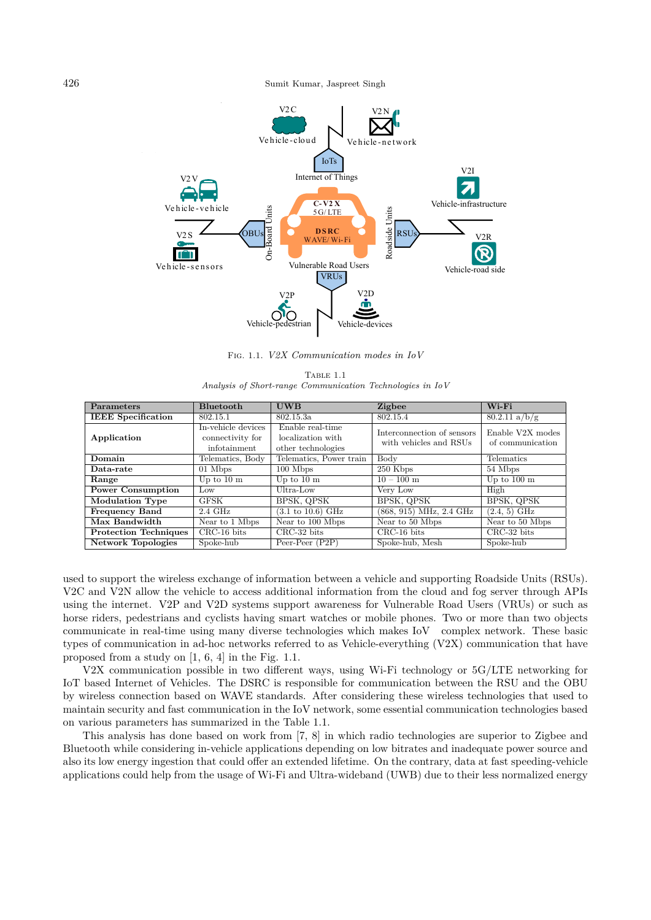

Fig. 1.1. *V2X Communication modes in IoV*

|  | TABLE 1.1                                                 |  |  |
|--|-----------------------------------------------------------|--|--|
|  | Analysis of Short-range Communication Technologies in IoV |  |  |

| <b>Parameters</b>            | <b>Bluetooth</b>                                       | <b>UWB</b>                                                                      | <b>Zigbee</b>                                        | $W$ i-Fi                             |
|------------------------------|--------------------------------------------------------|---------------------------------------------------------------------------------|------------------------------------------------------|--------------------------------------|
| <b>IEEE</b> Specification    | 802.15.1                                               | 802.15.3a                                                                       | 802.15.4                                             | $80.2.11 \text{ a/b/g}$              |
| Application                  | In-vehicle devices<br>connectivity for<br>infotainment | $\overline{\text{Enable real-time}}$<br>localization with<br>other technologies | Interconnection of sensors<br>with vehicles and RSUs | Enable V2X modes<br>of communication |
| Domain                       | Telematics, Body                                       | Telematics, Power train                                                         | Body                                                 | Telematics                           |
| Data-rate                    | 01 Mbps                                                | $100$ Mbps                                                                      | 250 Kbps                                             | 54 Mbps                              |
| Range                        | Up to $10 \text{ m}$                                   | Up to $10 \text{ m}$                                                            | $10 - 100$ m                                         | Up to $100 \text{ m}$                |
| <b>Power Consumption</b>     | Low                                                    | Ultra-Low                                                                       | Very Low                                             | High                                 |
| <b>Modulation Type</b>       | <b>GFSK</b>                                            | BPSK, QPSK                                                                      | BPSK, QPSK                                           | BPSK, QPSK                           |
| <b>Frequency Band</b>        | $2.4\text{ GHz}$                                       | $(3.1 \text{ to } 10.6) \text{ GHz}$                                            | (868, 915) MHz, 2.4 GHz                              | $(2.4, 5)$ GHz                       |
| Max Bandwidth                | Near to 1 Mbps                                         | Near to 100 Mbps                                                                | Near to 50 Mbps                                      | Near to 50 Mbps                      |
| <b>Protection Techniques</b> | $CRC-16$ bits                                          | $CRC-32$ bits                                                                   | $CRC-16$ bits                                        | $CRC-32$ bits                        |
| <b>Network Topologies</b>    | Spoke-hub                                              | Peer-Peer $(P2P)$                                                               | Spoke-hub, Mesh                                      | Spoke-hub                            |

used to support the wireless exchange of information between a vehicle and supporting Roadside Units (RSUs). V2C and V2N allow the vehicle to access additional information from the cloud and fog server through APIs using the internet. V2P and V2D systems support awareness for Vulnerable Road Users (VRUs) or such as horse riders, pedestrians and cyclists having smart watches or mobile phones. Two or more than two objects communicate in real-time using many diverse technologies which makes IoV complex network. These basic types of communication in ad-hoc networks referred to as Vehicle-everything (V2X) communication that have proposed from a study on [1, 6, 4] in the Fig. 1.1.

V2X communication possible in two different ways, using Wi-Fi technology or 5G/LTE networking for IoT based Internet of Vehicles. The DSRC is responsible for communication between the RSU and the OBU by wireless connection based on WAVE standards. After considering these wireless technologies that used to maintain security and fast communication in the IoV network, some essential communication technologies based on various parameters has summarized in the Table 1.1.

This analysis has done based on work from [7, 8] in which radio technologies are superior to Zigbee and Bluetooth while considering in-vehicle applications depending on low bitrates and inadequate power source and also its low energy ingestion that could offer an extended lifetime. On the contrary, data at fast speeding-vehicle applications could help from the usage of Wi-Fi and Ultra-wideband (UWB) due to their less normalized energy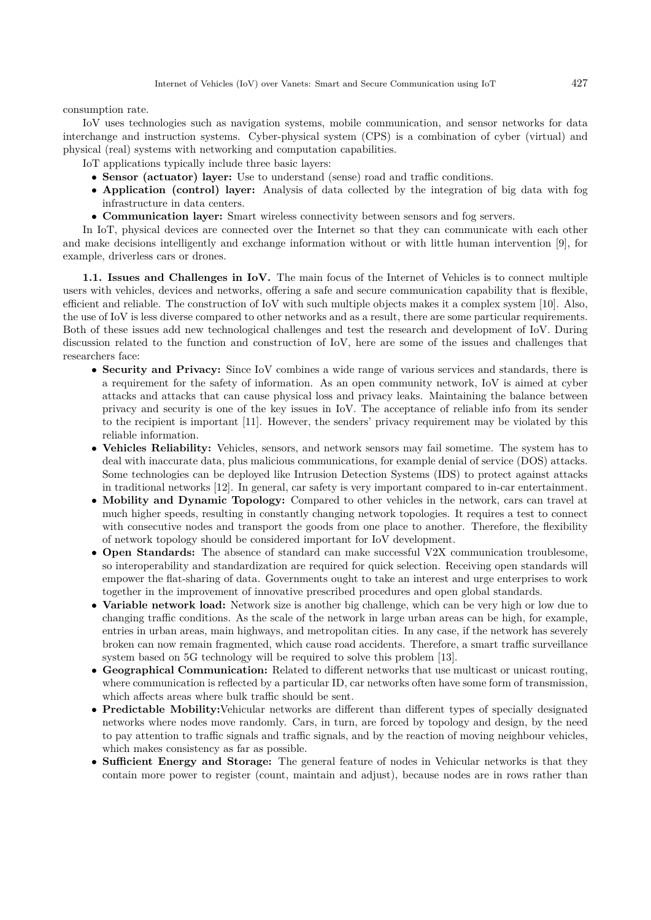consumption rate.

IoV uses technologies such as navigation systems, mobile communication, and sensor networks for data interchange and instruction systems. Cyber-physical system (CPS) is a combination of cyber (virtual) and physical (real) systems with networking and computation capabilities.

IoT applications typically include three basic layers:

- **Sensor (actuator) layer:** Use to understand (sense) road and traffic conditions.
- **Application (control) layer:** Analysis of data collected by the integration of big data with fog infrastructure in data centers.
- **Communication layer:** Smart wireless connectivity between sensors and fog servers.

In IoT, physical devices are connected over the Internet so that they can communicate with each other and make decisions intelligently and exchange information without or with little human intervention [9], for example, driverless cars or drones.

**1.1. Issues and Challenges in IoV.** The main focus of the Internet of Vehicles is to connect multiple users with vehicles, devices and networks, offering a safe and secure communication capability that is flexible, efficient and reliable. The construction of IoV with such multiple objects makes it a complex system [10]. Also, the use of IoV is less diverse compared to other networks and as a result, there are some particular requirements. Both of these issues add new technological challenges and test the research and development of IoV. During discussion related to the function and construction of IoV, here are some of the issues and challenges that researchers face:

- **Security and Privacy:** Since IoV combines a wide range of various services and standards, there is a requirement for the safety of information. As an open community network, IoV is aimed at cyber attacks and attacks that can cause physical loss and privacy leaks. Maintaining the balance between privacy and security is one of the key issues in IoV. The acceptance of reliable info from its sender to the recipient is important [11]. However, the senders' privacy requirement may be violated by this reliable information.
- **Vehicles Reliability:** Vehicles, sensors, and network sensors may fail sometime. The system has to deal with inaccurate data, plus malicious communications, for example denial of service (DOS) attacks. Some technologies can be deployed like Intrusion Detection Systems (IDS) to protect against attacks in traditional networks [12]. In general, car safety is very important compared to in-car entertainment.
- **Mobility and Dynamic Topology:** Compared to other vehicles in the network, cars can travel at much higher speeds, resulting in constantly changing network topologies. It requires a test to connect with consecutive nodes and transport the goods from one place to another. Therefore, the flexibility of network topology should be considered important for IoV development.
- **Open Standards:** The absence of standard can make successful V2X communication troublesome, so interoperability and standardization are required for quick selection. Receiving open standards will empower the flat-sharing of data. Governments ought to take an interest and urge enterprises to work together in the improvement of innovative prescribed procedures and open global standards.
- **Variable network load:** Network size is another big challenge, which can be very high or low due to changing traffic conditions. As the scale of the network in large urban areas can be high, for example, entries in urban areas, main highways, and metropolitan cities. In any case, if the network has severely broken can now remain fragmented, which cause road accidents. Therefore, a smart traffic surveillance system based on 5G technology will be required to solve this problem [13].
- **Geographical Communication:** Related to different networks that use multicast or unicast routing, where communication is reflected by a particular ID, car networks often have some form of transmission, which affects areas where bulk traffic should be sent.
- **Predictable Mobility:**Vehicular networks are different than different types of specially designated networks where nodes move randomly. Cars, in turn, are forced by topology and design, by the need to pay attention to traffic signals and traffic signals, and by the reaction of moving neighbour vehicles, which makes consistency as far as possible.
- **Sufficient Energy and Storage:** The general feature of nodes in Vehicular networks is that they contain more power to register (count, maintain and adjust), because nodes are in rows rather than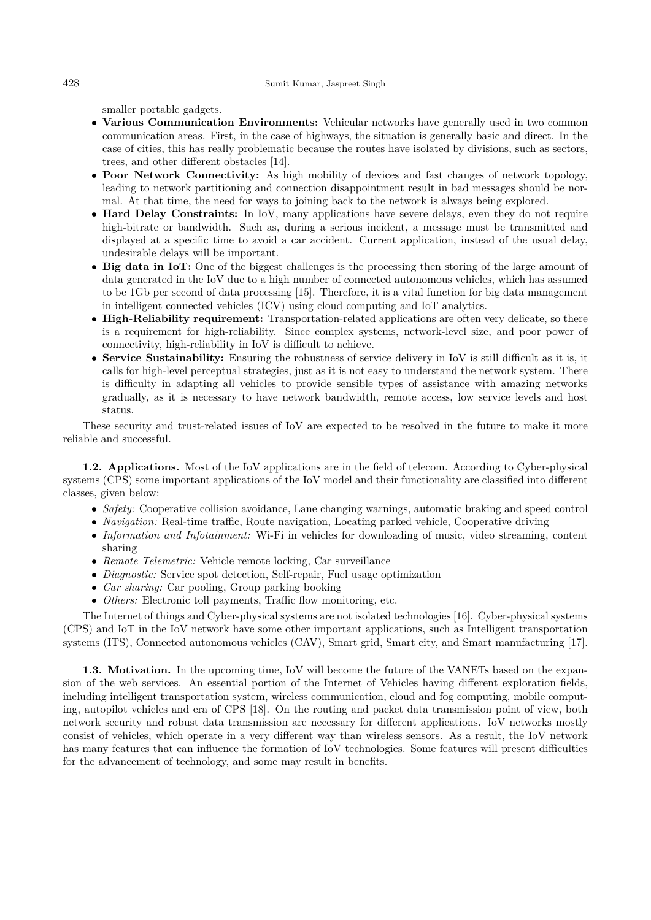smaller portable gadgets.

- **Various Communication Environments:** Vehicular networks have generally used in two common communication areas. First, in the case of highways, the situation is generally basic and direct. In the case of cities, this has really problematic because the routes have isolated by divisions, such as sectors, trees, and other different obstacles [14].
- **Poor Network Connectivity:** As high mobility of devices and fast changes of network topology, leading to network partitioning and connection disappointment result in bad messages should be normal. At that time, the need for ways to joining back to the network is always being explored.
- **Hard Delay Constraints:** In IoV, many applications have severe delays, even they do not require high-bitrate or bandwidth. Such as, during a serious incident, a message must be transmitted and displayed at a specific time to avoid a car accident. Current application, instead of the usual delay, undesirable delays will be important.
- **Big data in IoT:** One of the biggest challenges is the processing then storing of the large amount of data generated in the IoV due to a high number of connected autonomous vehicles, which has assumed to be 1Gb per second of data processing [15]. Therefore, it is a vital function for big data management in intelligent connected vehicles (ICV) using cloud computing and IoT analytics.
- **High-Reliability requirement:** Transportation-related applications are often very delicate, so there is a requirement for high-reliability. Since complex systems, network-level size, and poor power of connectivity, high-reliability in IoV is difficult to achieve.
- **Service Sustainability:** Ensuring the robustness of service delivery in IoV is still difficult as it is, it calls for high-level perceptual strategies, just as it is not easy to understand the network system. There is difficulty in adapting all vehicles to provide sensible types of assistance with amazing networks gradually, as it is necessary to have network bandwidth, remote access, low service levels and host status.

These security and trust-related issues of IoV are expected to be resolved in the future to make it more reliable and successful.

**1.2. Applications.** Most of the IoV applications are in the field of telecom. According to Cyber-physical systems (CPS) some important applications of the IoV model and their functionality are classified into different classes, given below:

- *Safety:* Cooperative collision avoidance, Lane changing warnings, automatic braking and speed control
- *Navigation:* Real-time traffic, Route navigation, Locating parked vehicle, Cooperative driving
- *Information and Infotainment:* Wi-Fi in vehicles for downloading of music, video streaming, content sharing
- *Remote Telemetric:* Vehicle remote locking, Car surveillance
- *Diagnostic:* Service spot detection, Self-repair, Fuel usage optimization
- *Car sharing:* Car pooling, Group parking booking
- *Others:* Electronic toll payments, Traffic flow monitoring, etc.

The Internet of things and Cyber-physical systems are not isolated technologies [16]. Cyber-physical systems (CPS) and IoT in the IoV network have some other important applications, such as Intelligent transportation systems (ITS), Connected autonomous vehicles (CAV), Smart grid, Smart city, and Smart manufacturing [17].

**1.3. Motivation.** In the upcoming time, IoV will become the future of the VANETs based on the expansion of the web services. An essential portion of the Internet of Vehicles having different exploration fields, including intelligent transportation system, wireless communication, cloud and fog computing, mobile computing, autopilot vehicles and era of CPS [18]. On the routing and packet data transmission point of view, both network security and robust data transmission are necessary for different applications. IoV networks mostly consist of vehicles, which operate in a very different way than wireless sensors. As a result, the IoV network has many features that can influence the formation of IoV technologies. Some features will present difficulties for the advancement of technology, and some may result in benefits.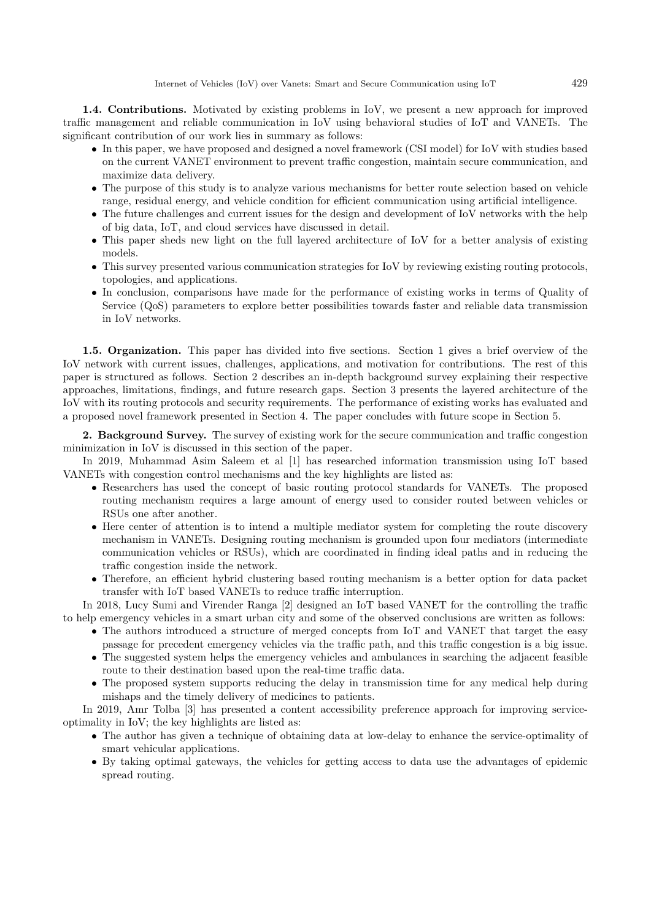**1.4. Contributions.** Motivated by existing problems in IoV, we present a new approach for improved traffic management and reliable communication in IoV using behavioral studies of IoT and VANETs. The significant contribution of our work lies in summary as follows:

- In this paper, we have proposed and designed a novel framework (CSI model) for IoV with studies based on the current VANET environment to prevent traffic congestion, maintain secure communication, and maximize data delivery.
- The purpose of this study is to analyze various mechanisms for better route selection based on vehicle range, residual energy, and vehicle condition for efficient communication using artificial intelligence.
- The future challenges and current issues for the design and development of IoV networks with the help of big data, IoT, and cloud services have discussed in detail.
- This paper sheds new light on the full layered architecture of IoV for a better analysis of existing models.
- This survey presented various communication strategies for IoV by reviewing existing routing protocols, topologies, and applications.
- In conclusion, comparisons have made for the performance of existing works in terms of Quality of Service (QoS) parameters to explore better possibilities towards faster and reliable data transmission in IoV networks.

**1.5. Organization.** This paper has divided into five sections. Section 1 gives a brief overview of the IoV network with current issues, challenges, applications, and motivation for contributions. The rest of this paper is structured as follows. Section 2 describes an in-depth background survey explaining their respective approaches, limitations, findings, and future research gaps. Section 3 presents the layered architecture of the IoV with its routing protocols and security requirements. The performance of existing works has evaluated and a proposed novel framework presented in Section 4. The paper concludes with future scope in Section 5.

**2. Background Survey.** The survey of existing work for the secure communication and traffic congestion minimization in IoV is discussed in this section of the paper.

In 2019, Muhammad Asim Saleem et al [1] has researched information transmission using IoT based VANETs with congestion control mechanisms and the key highlights are listed as:

- Researchers has used the concept of basic routing protocol standards for VANETs. The proposed routing mechanism requires a large amount of energy used to consider routed between vehicles or RSUs one after another.
- Here center of attention is to intend a multiple mediator system for completing the route discovery mechanism in VANETs. Designing routing mechanism is grounded upon four mediators (intermediate communication vehicles or RSUs), which are coordinated in finding ideal paths and in reducing the traffic congestion inside the network.
- Therefore, an efficient hybrid clustering based routing mechanism is a better option for data packet transfer with IoT based VANETs to reduce traffic interruption.

In 2018, Lucy Sumi and Virender Ranga [2] designed an IoT based VANET for the controlling the traffic to help emergency vehicles in a smart urban city and some of the observed conclusions are written as follows:

- The authors introduced a structure of merged concepts from IoT and VANET that target the easy passage for precedent emergency vehicles via the traffic path, and this traffic congestion is a big issue.
- The suggested system helps the emergency vehicles and ambulances in searching the adjacent feasible route to their destination based upon the real-time traffic data.
- The proposed system supports reducing the delay in transmission time for any medical help during mishaps and the timely delivery of medicines to patients.

In 2019, Amr Tolba [3] has presented a content accessibility preference approach for improving serviceoptimality in IoV; the key highlights are listed as:

- The author has given a technique of obtaining data at low-delay to enhance the service-optimality of smart vehicular applications.
- By taking optimal gateways, the vehicles for getting access to data use the advantages of epidemic spread routing.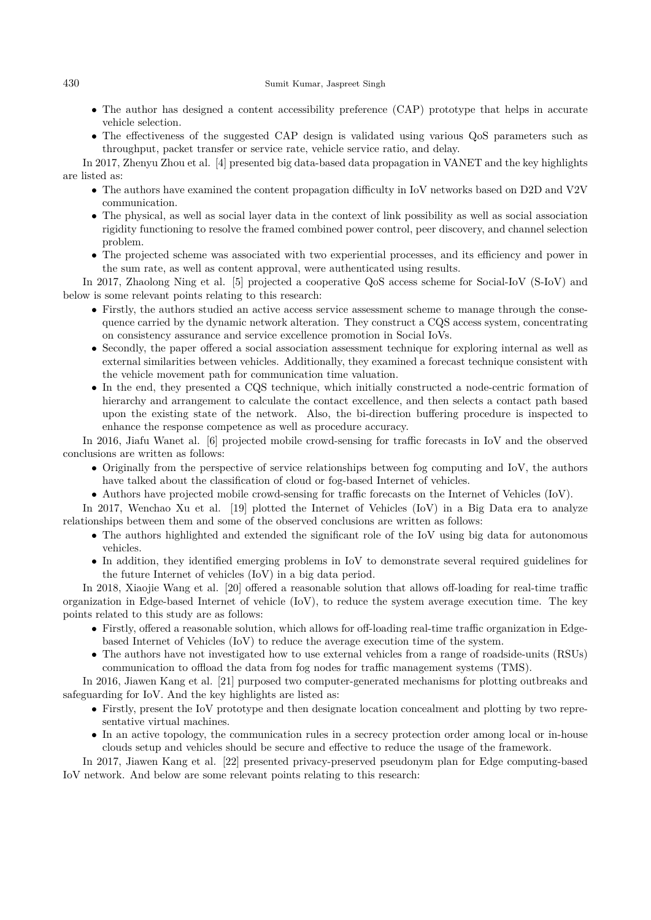- The author has designed a content accessibility preference (CAP) prototype that helps in accurate vehicle selection.
- The effectiveness of the suggested CAP design is validated using various QoS parameters such as throughput, packet transfer or service rate, vehicle service ratio, and delay.

In 2017, Zhenyu Zhou et al. [4] presented big data-based data propagation in VANET and the key highlights are listed as:

- The authors have examined the content propagation difficulty in IoV networks based on D2D and V2V communication.
- The physical, as well as social layer data in the context of link possibility as well as social association rigidity functioning to resolve the framed combined power control, peer discovery, and channel selection problem.
- The projected scheme was associated with two experiential processes, and its efficiency and power in the sum rate, as well as content approval, were authenticated using results.

In 2017, Zhaolong Ning et al. [5] projected a cooperative QoS access scheme for Social-IoV (S-IoV) and below is some relevant points relating to this research:

- Firstly, the authors studied an active access service assessment scheme to manage through the consequence carried by the dynamic network alteration. They construct a CQS access system, concentrating on consistency assurance and service excellence promotion in Social IoVs.
- Secondly, the paper offered a social association assessment technique for exploring internal as well as external similarities between vehicles. Additionally, they examined a forecast technique consistent with the vehicle movement path for communication time valuation.
- In the end, they presented a CQS technique, which initially constructed a node-centric formation of hierarchy and arrangement to calculate the contact excellence, and then selects a contact path based upon the existing state of the network. Also, the bi-direction buffering procedure is inspected to enhance the response competence as well as procedure accuracy.

In 2016, Jiafu Wanet al. [6] projected mobile crowd-sensing for traffic forecasts in IoV and the observed conclusions are written as follows:

- Originally from the perspective of service relationships between fog computing and IoV, the authors have talked about the classification of cloud or fog-based Internet of vehicles.
- Authors have projected mobile crowd-sensing for traffic forecasts on the Internet of Vehicles (IoV).

In 2017, Wenchao Xu et al. [19] plotted the Internet of Vehicles (IoV) in a Big Data era to analyze relationships between them and some of the observed conclusions are written as follows:

- The authors highlighted and extended the significant role of the IoV using big data for autonomous vehicles.
- In addition, they identified emerging problems in IoV to demonstrate several required guidelines for the future Internet of vehicles (IoV) in a big data period.

In 2018, Xiaojie Wang et al. [20] offered a reasonable solution that allows off-loading for real-time traffic organization in Edge-based Internet of vehicle (IoV), to reduce the system average execution time. The key points related to this study are as follows:

- Firstly, offered a reasonable solution, which allows for off-loading real-time traffic organization in Edgebased Internet of Vehicles (IoV) to reduce the average execution time of the system.
- The authors have not investigated how to use external vehicles from a range of roadside-units (RSUs) communication to offload the data from fog nodes for traffic management systems (TMS).

In 2016, Jiawen Kang et al. [21] purposed two computer-generated mechanisms for plotting outbreaks and safeguarding for IoV. And the key highlights are listed as:

- Firstly, present the IoV prototype and then designate location concealment and plotting by two representative virtual machines.
- In an active topology, the communication rules in a secrecy protection order among local or in-house clouds setup and vehicles should be secure and effective to reduce the usage of the framework.

In 2017, Jiawen Kang et al. [22] presented privacy-preserved pseudonym plan for Edge computing-based IoV network. And below are some relevant points relating to this research: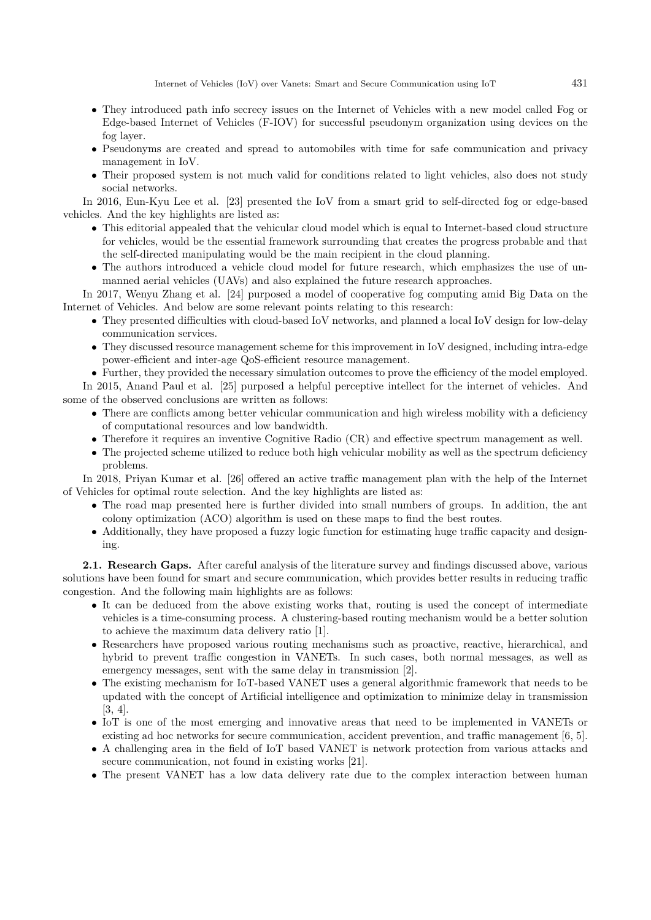- They introduced path info secrecy issues on the Internet of Vehicles with a new model called Fog or Edge-based Internet of Vehicles (F-IOV) for successful pseudonym organization using devices on the fog layer.
- Pseudonyms are created and spread to automobiles with time for safe communication and privacy management in IoV.
- Their proposed system is not much valid for conditions related to light vehicles, also does not study social networks.

In 2016, Eun-Kyu Lee et al. [23] presented the IoV from a smart grid to self-directed fog or edge-based vehicles. And the key highlights are listed as:

- This editorial appealed that the vehicular cloud model which is equal to Internet-based cloud structure for vehicles, would be the essential framework surrounding that creates the progress probable and that the self-directed manipulating would be the main recipient in the cloud planning.
- The authors introduced a vehicle cloud model for future research, which emphasizes the use of unmanned aerial vehicles (UAVs) and also explained the future research approaches.

In 2017, Wenyu Zhang et al. [24] purposed a model of cooperative fog computing amid Big Data on the Internet of Vehicles. And below are some relevant points relating to this research:

- They presented difficulties with cloud-based IoV networks, and planned a local IoV design for low-delay communication services.
- They discussed resource management scheme for this improvement in IoV designed, including intra-edge power-efficient and inter-age QoS-efficient resource management.

• Further, they provided the necessary simulation outcomes to prove the efficiency of the model employed.

In 2015, Anand Paul et al. [25] purposed a helpful perceptive intellect for the internet of vehicles. And some of the observed conclusions are written as follows:

- There are conflicts among better vehicular communication and high wireless mobility with a deficiency of computational resources and low bandwidth.
- Therefore it requires an inventive Cognitive Radio (CR) and effective spectrum management as well.
- The projected scheme utilized to reduce both high vehicular mobility as well as the spectrum deficiency problems.

In 2018, Priyan Kumar et al. [26] offered an active traffic management plan with the help of the Internet of Vehicles for optimal route selection. And the key highlights are listed as:

- The road map presented here is further divided into small numbers of groups. In addition, the ant colony optimization (ACO) algorithm is used on these maps to find the best routes.
- Additionally, they have proposed a fuzzy logic function for estimating huge traffic capacity and designing.

**2.1. Research Gaps.** After careful analysis of the literature survey and findings discussed above, various solutions have been found for smart and secure communication, which provides better results in reducing traffic congestion. And the following main highlights are as follows:

- It can be deduced from the above existing works that, routing is used the concept of intermediate vehicles is a time-consuming process. A clustering-based routing mechanism would be a better solution to achieve the maximum data delivery ratio [1].
- Researchers have proposed various routing mechanisms such as proactive, reactive, hierarchical, and hybrid to prevent traffic congestion in VANETs. In such cases, both normal messages, as well as emergency messages, sent with the same delay in transmission [2].
- The existing mechanism for IoT-based VANET uses a general algorithmic framework that needs to be updated with the concept of Artificial intelligence and optimization to minimize delay in transmission [3, 4].
- IoT is one of the most emerging and innovative areas that need to be implemented in VANETs or existing ad hoc networks for secure communication, accident prevention, and traffic management [6, 5].
- A challenging area in the field of IoT based VANET is network protection from various attacks and secure communication, not found in existing works [21].
- The present VANET has a low data delivery rate due to the complex interaction between human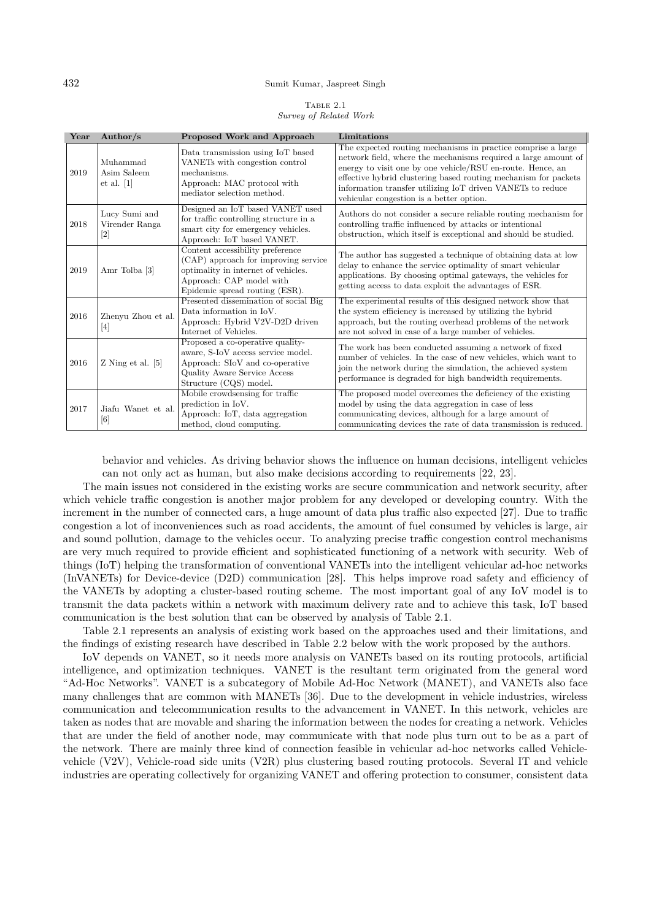TABLE 2.1 *Survey of Related Work*

| Year | Author/ $s$                                      | Proposed Work and Approach                                                                                                                                                    | Limitations                                                                                                                                                                                                                                                                                                                                                               |
|------|--------------------------------------------------|-------------------------------------------------------------------------------------------------------------------------------------------------------------------------------|---------------------------------------------------------------------------------------------------------------------------------------------------------------------------------------------------------------------------------------------------------------------------------------------------------------------------------------------------------------------------|
| 2019 | Muhammad<br>Asim Saleem<br>et al. [1]            | Data transmission using IoT based<br>VANETs with congestion control<br>mechanisms.<br>Approach: MAC protocol with<br>mediator selection method.                               | The expected routing mechanisms in practice comprise a large<br>network field, where the mechanisms required a large amount of<br>energy to visit one by one vehicle/RSU en-route. Hence, an<br>effective hybrid clustering based routing mechanism for packets<br>information transfer utilizing IoT driven VANETs to reduce<br>vehicular congestion is a better option. |
| 2018 | ${\rm Lucy}$ Sumi and<br>Virender Ranga<br>$[2]$ | Designed an IoT based VANET used<br>for traffic controlling structure in a<br>smart city for emergency vehicles.<br>Approach: IoT based VANET.                                | Authors do not consider a secure reliable routing mechanism for<br>controlling traffic influenced by attacks or intentional<br>obstruction, which itself is exceptional and should be studied.                                                                                                                                                                            |
| 2019 | Amr Tolba [3]                                    | Content accessibility preference<br>(CAP) approach for improving service<br>optimality in internet of vehicles.<br>Approach: CAP model with<br>Epidemic spread routing (ESR). | The author has suggested a technique of obtaining data at low<br>delay to enhance the service optimality of smart vehicular<br>applications. By choosing optimal gateways, the vehicles for<br>getting access to data exploit the advantages of ESR.                                                                                                                      |
| 2016 | Zhenyu Zhou et al.<br>$\lceil 4 \rceil$          | Presented dissemination of social Big<br>Data information in IoV.<br>Approach: Hybrid V2V-D2D driven<br>Internet of Vehicles.                                                 | The experimental results of this designed network show that<br>the system efficiency is increased by utilizing the hybrid<br>approach, but the routing overhead problems of the network<br>are not solved in case of a large number of vehicles.                                                                                                                          |
| 2016 | $Z$ Ning et al. $[5]$                            | Proposed a co-operative quality-<br>aware, S-IoV access service model.<br>Approach: SIoV and co-operative<br>Quality Aware Service Access<br>Structure (CQS) model.           | The work has been conducted assuming a network of fixed<br>number of vehicles. In the case of new vehicles, which want to<br>join the network during the simulation, the achieved system<br>performance is degraded for high bandwidth requirements.                                                                                                                      |
| 2017 | Jiafu Wanet et al.<br>$\lceil 6 \rceil$          | Mobile crowdsensing for traffic<br>prediction in IoV.<br>Approach: IoT, data aggregation<br>method, cloud computing.                                                          | The proposed model overcomes the deficiency of the existing<br>model by using the data aggregation in case of less<br>communicating devices, although for a large amount of<br>communicating devices the rate of data transmission is reduced.                                                                                                                            |

behavior and vehicles. As driving behavior shows the influence on human decisions, intelligent vehicles can not only act as human, but also make decisions according to requirements [22, 23].

The main issues not considered in the existing works are secure communication and network security, after which vehicle traffic congestion is another major problem for any developed or developing country. With the increment in the number of connected cars, a huge amount of data plus traffic also expected [27]. Due to traffic congestion a lot of inconveniences such as road accidents, the amount of fuel consumed by vehicles is large, air and sound pollution, damage to the vehicles occur. To analyzing precise traffic congestion control mechanisms are very much required to provide efficient and sophisticated functioning of a network with security. Web of things (IoT) helping the transformation of conventional VANETs into the intelligent vehicular ad-hoc networks (InVANETs) for Device-device (D2D) communication [28]. This helps improve road safety and efficiency of the VANETs by adopting a cluster-based routing scheme. The most important goal of any IoV model is to transmit the data packets within a network with maximum delivery rate and to achieve this task, IoT based communication is the best solution that can be observed by analysis of Table 2.1.

Table 2.1 represents an analysis of existing work based on the approaches used and their limitations, and the findings of existing research have described in Table 2.2 below with the work proposed by the authors.

IoV depends on VANET, so it needs more analysis on VANETs based on its routing protocols, artificial intelligence, and optimization techniques. VANET is the resultant term originated from the general word "Ad-Hoc Networks". VANET is a subcategory of Mobile Ad-Hoc Network (MANET), and VANETs also face many challenges that are common with MANETs [36]. Due to the development in vehicle industries, wireless communication and telecommunication results to the advancement in VANET. In this network, vehicles are taken as nodes that are movable and sharing the information between the nodes for creating a network. Vehicles that are under the field of another node, may communicate with that node plus turn out to be as a part of the network. There are mainly three kind of connection feasible in vehicular ad-hoc networks called Vehiclevehicle (V2V), Vehicle-road side units (V2R) plus clustering based routing protocols. Several IT and vehicle industries are operating collectively for organizing VANET and offering protection to consumer, consistent data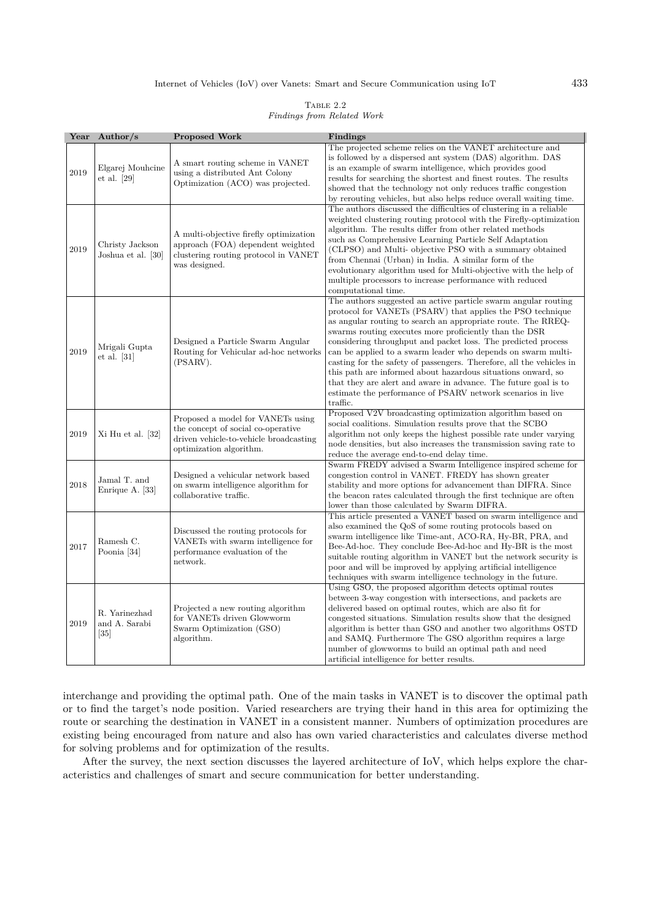# Internet of Vehicles (IoV) over Vanets: Smart and Secure Communication using IoT 433

| TABLE 2.2                  |  |
|----------------------------|--|
| Findings from Related Work |  |

| Year | Author/ $s$                                         | <b>Proposed Work</b>                                                                                                                         | Findings                                                                                                                                                                                                                                                                                                                                                                                                                                                                                                                                                                                                                                                                      |
|------|-----------------------------------------------------|----------------------------------------------------------------------------------------------------------------------------------------------|-------------------------------------------------------------------------------------------------------------------------------------------------------------------------------------------------------------------------------------------------------------------------------------------------------------------------------------------------------------------------------------------------------------------------------------------------------------------------------------------------------------------------------------------------------------------------------------------------------------------------------------------------------------------------------|
| 2019 | Elgarej Mouhcine<br>et al. $[29]$                   | A smart routing scheme in VANET<br>using a distributed Ant Colony<br>Optimization (ACO) was projected.                                       | The projected scheme relies on the VANET architecture and<br>is followed by a dispersed ant system (DAS) algorithm. DAS<br>is an example of swarm intelligence, which provides good<br>results for searching the shortest and finest routes. The results<br>showed that the technology not only reduces traffic congestion<br>by rerouting vehicles, but also helps reduce overall waiting time.                                                                                                                                                                                                                                                                              |
| 2019 | Christy Jackson<br>Joshua et al. [30]               | A multi-objective firefly optimization<br>approach (FOA) dependent weighted<br>clustering routing protocol in VANET<br>was designed.         | The authors discussed the difficulties of clustering in a reliable<br>weighted clustering routing protocol with the Firefly-optimization<br>algorithm. The results differ from other related methods<br>such as Comprehensive Learning Particle Self Adaptation<br>(CLPSO) and Multi- objective PSO with a summary obtained<br>from Chennai (Urban) in India. A similar form of the<br>evolutionary algorithm used for Multi-objective with the help of<br>multiple processors to increase performance with reduced<br>computational time.                                                                                                                                    |
| 2019 | Mrigali Gupta<br>et al. [31]                        | Designed a Particle Swarm Angular<br>Routing for Vehicular ad-hoc networks<br>(PSARV).                                                       | The authors suggested an active particle swarm angular routing<br>protocol for VANETs (PSARV) that applies the PSO technique<br>as angular routing to search an appropriate route. The RREQ-<br>swarms routing executes more proficiently than the DSR<br>considering throughput and packet loss. The predicted process<br>can be applied to a swarm leader who depends on swarm multi-<br>casting for the safety of passengers. Therefore, all the vehicles in<br>this path are informed about hazardous situations onward, so<br>that they are alert and aware in advance. The future goal is to<br>estimate the performance of PSARV network scenarios in live<br>traffic. |
| 2019 | Xi Hu et al. [32]                                   | Proposed a model for VANETs using<br>the concept of social co-operative<br>driven vehicle-to-vehicle broadcasting<br>optimization algorithm. | Proposed V2V broadcasting optimization algorithm based on<br>social coalitions. Simulation results prove that the SCBO<br>algorithm not only keeps the highest possible rate under varying<br>node densities, but also increases the transmission saving rate to<br>reduce the average end-to-end delay time.                                                                                                                                                                                                                                                                                                                                                                 |
| 2018 | Jamal T. and<br>Enrique A. [33]                     | Designed a vehicular network based<br>on swarm intelligence algorithm for<br>collaborative traffic.                                          | Swarm FREDY advised a Swarm Intelligence inspired scheme for<br>congestion control in VANET. FREDY has shown greater<br>stability and more options for advancement than DIFRA. Since<br>the beacon rates calculated through the first technique are often<br>lower than those calculated by Swarm DIFRA.                                                                                                                                                                                                                                                                                                                                                                      |
| 2017 | Ramesh C.<br>Poonia [34]                            | Discussed the routing protocols for<br>VANETs with swarm intelligence for<br>performance evaluation of the<br>network.                       | This article presented a VANET based on swarm intelligence and<br>also examined the QoS of some routing protocols based on<br>swarm intelligence like Time-ant, ACO-RA, Hy-BR, PRA, and<br>Bee-Ad-hoc. They conclude Bee-Ad-hoc and Hy-BR is the most<br>suitable routing algorithm in VANET but the network security is<br>poor and will be improved by applying artificial intelligence<br>techniques with swarm intelligence technology in the future.                                                                                                                                                                                                                     |
| 2019 | R. Yarinezhad<br>and A. Sarabi<br>$\left[35\right]$ | Projected a new routing algorithm<br>for VANETs driven Glowworm<br>Swarm Optimization (GSO)<br>algorithm.                                    | Using GSO, the proposed algorithm detects optimal routes<br>between 3-way congestion with intersections, and packets are<br>delivered based on optimal routes, which are also fit for<br>congested situations. Simulation results show that the designed<br>algorithm is better than GSO and another two algorithms OSTD<br>and SAMQ. Furthermore The GSO algorithm requires a large<br>number of glowworms to build an optimal path and need<br>artificial intelligence for better results.                                                                                                                                                                                  |

interchange and providing the optimal path. One of the main tasks in VANET is to discover the optimal path or to find the target's node position. Varied researchers are trying their hand in this area for optimizing the route or searching the destination in VANET in a consistent manner. Numbers of optimization procedures are existing being encouraged from nature and also has own varied characteristics and calculates diverse method for solving problems and for optimization of the results.

After the survey, the next section discusses the layered architecture of IoV, which helps explore the characteristics and challenges of smart and secure communication for better understanding.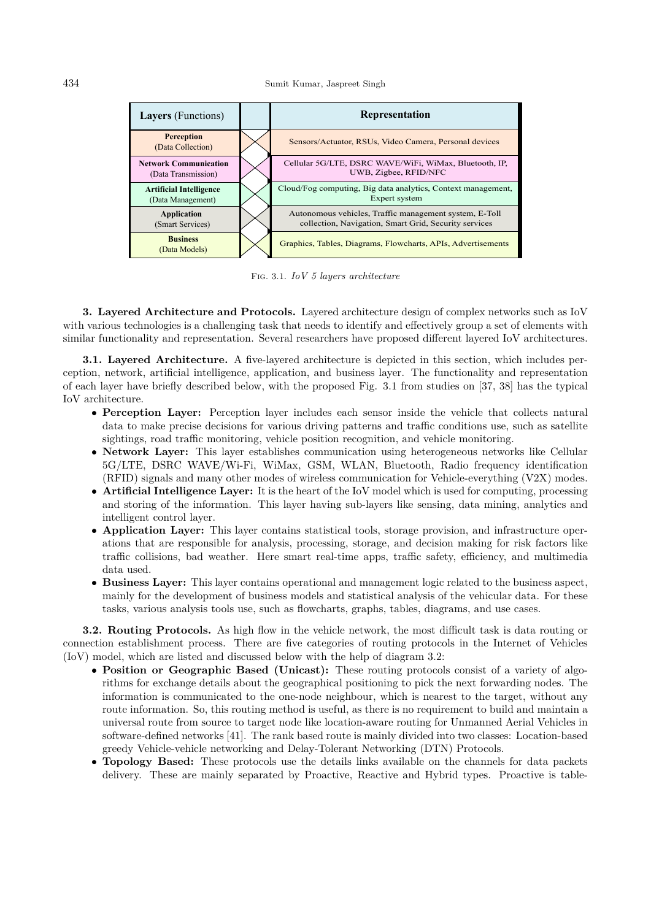| <b>Layers</b> (Functions)                           | Representation                                                                                                  |
|-----------------------------------------------------|-----------------------------------------------------------------------------------------------------------------|
| <b>Perception</b><br>(Data Collection)              | Sensors/Actuator, RSUs, Video Camera, Personal devices                                                          |
| <b>Network Communication</b><br>(Data Transmission) | Cellular 5G/LTE, DSRC WAVE/WiFi, WiMax, Bluetooth, IP,<br>UWB, Zigbee, RFID/NFC                                 |
| <b>Artificial Intelligence</b><br>(Data Management) | Cloud/Fog computing, Big data analytics, Context management,<br>Expert system                                   |
| Application<br>(Smart Services)                     | Autonomous vehicles, Traffic management system, E-Toll<br>collection, Navigation, Smart Grid, Security services |
| <b>Business</b><br>(Data Models)                    | Graphics, Tables, Diagrams, Flowcharts, APIs, Advertisements                                                    |

Fig. 3.1. *IoV 5 layers architecture*

**3. Layered Architecture and Protocols.** Layered architecture design of complex networks such as IoV with various technologies is a challenging task that needs to identify and effectively group a set of elements with similar functionality and representation. Several researchers have proposed different layered IoV architectures.

**3.1. Layered Architecture.** A five-layered architecture is depicted in this section, which includes perception, network, artificial intelligence, application, and business layer. The functionality and representation of each layer have briefly described below, with the proposed Fig. 3.1 from studies on [37, 38] has the typical IoV architecture.

- **Perception Layer:** Perception layer includes each sensor inside the vehicle that collects natural data to make precise decisions for various driving patterns and traffic conditions use, such as satellite sightings, road traffic monitoring, vehicle position recognition, and vehicle monitoring.
- **Network Layer:** This layer establishes communication using heterogeneous networks like Cellular 5G/LTE, DSRC WAVE/Wi-Fi, WiMax, GSM, WLAN, Bluetooth, Radio frequency identification (RFID) signals and many other modes of wireless communication for Vehicle-everything (V2X) modes.
- **Artificial Intelligence Layer:** It is the heart of the IoV model which is used for computing, processing and storing of the information. This layer having sub-layers like sensing, data mining, analytics and intelligent control layer.
- **Application Layer:** This layer contains statistical tools, storage provision, and infrastructure operations that are responsible for analysis, processing, storage, and decision making for risk factors like traffic collisions, bad weather. Here smart real-time apps, traffic safety, efficiency, and multimedia data used.
- **Business Layer:** This layer contains operational and management logic related to the business aspect, mainly for the development of business models and statistical analysis of the vehicular data. For these tasks, various analysis tools use, such as flowcharts, graphs, tables, diagrams, and use cases.

**3.2. Routing Protocols.** As high flow in the vehicle network, the most difficult task is data routing or connection establishment process. There are five categories of routing protocols in the Internet of Vehicles (IoV) model, which are listed and discussed below with the help of diagram 3.2:

- **Position or Geographic Based (Unicast):** These routing protocols consist of a variety of algorithms for exchange details about the geographical positioning to pick the next forwarding nodes. The information is communicated to the one-node neighbour, which is nearest to the target, without any route information. So, this routing method is useful, as there is no requirement to build and maintain a universal route from source to target node like location-aware routing for Unmanned Aerial Vehicles in software-defined networks [41]. The rank based route is mainly divided into two classes: Location-based greedy Vehicle-vehicle networking and Delay-Tolerant Networking (DTN) Protocols.
- **Topology Based:** These protocols use the details links available on the channels for data packets delivery. These are mainly separated by Proactive, Reactive and Hybrid types. Proactive is table-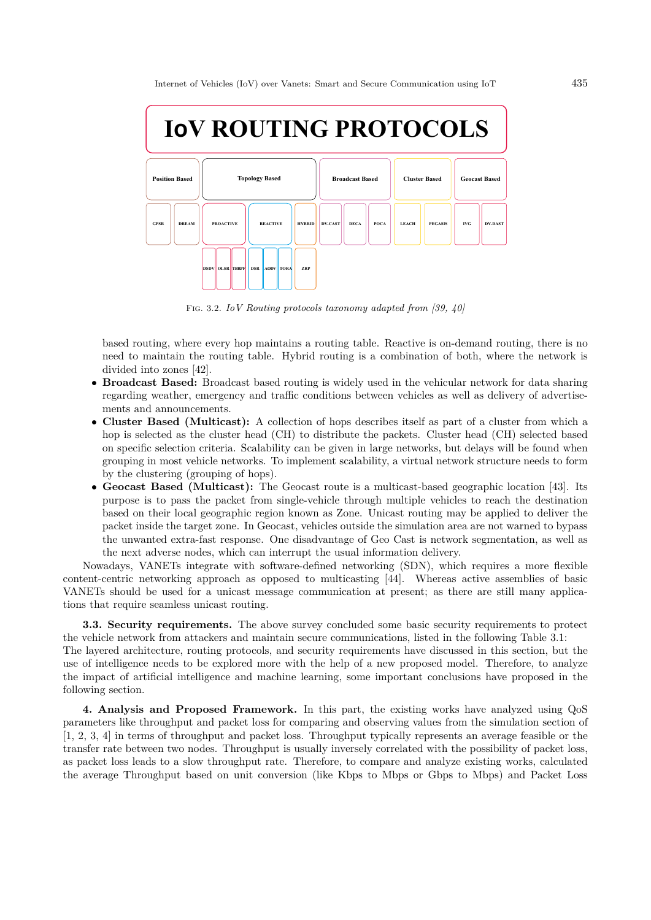

Fig. 3.2. *IoV Routing protocols taxonomy adapted from [39, 40]*

based routing, where every hop maintains a routing table. Reactive is on-demand routing, there is no need to maintain the routing table. Hybrid routing is a combination of both, where the network is divided into zones [42].

- **Broadcast Based:** Broadcast based routing is widely used in the vehicular network for data sharing regarding weather, emergency and traffic conditions between vehicles as well as delivery of advertisements and announcements.
- **Cluster Based (Multicast):** A collection of hops describes itself as part of a cluster from which a hop is selected as the cluster head (CH) to distribute the packets. Cluster head (CH) selected based on specific selection criteria. Scalability can be given in large networks, but delays will be found when grouping in most vehicle networks. To implement scalability, a virtual network structure needs to form by the clustering (grouping of hops).
- **Geocast Based (Multicast):** The Geocast route is a multicast-based geographic location [43]. Its purpose is to pass the packet from single-vehicle through multiple vehicles to reach the destination based on their local geographic region known as Zone. Unicast routing may be applied to deliver the packet inside the target zone. In Geocast, vehicles outside the simulation area are not warned to bypass the unwanted extra-fast response. One disadvantage of Geo Cast is network segmentation, as well as the next adverse nodes, which can interrupt the usual information delivery.

Nowadays, VANETs integrate with software-defined networking (SDN), which requires a more flexible content-centric networking approach as opposed to multicasting [44]. Whereas active assemblies of basic VANETs should be used for a unicast message communication at present; as there are still many applications that require seamless unicast routing.

**3.3. Security requirements.** The above survey concluded some basic security requirements to protect the vehicle network from attackers and maintain secure communications, listed in the following Table 3.1: The layered architecture, routing protocols, and security requirements have discussed in this section, but the use of intelligence needs to be explored more with the help of a new proposed model. Therefore, to analyze the impact of artificial intelligence and machine learning, some important conclusions have proposed in the

following section.

**4. Analysis and Proposed Framework.** In this part, the existing works have analyzed using QoS parameters like throughput and packet loss for comparing and observing values from the simulation section of [1, 2, 3, 4] in terms of throughput and packet loss. Throughput typically represents an average feasible or the transfer rate between two nodes. Throughput is usually inversely correlated with the possibility of packet loss, as packet loss leads to a slow throughput rate. Therefore, to compare and analyze existing works, calculated the average Throughput based on unit conversion (like Kbps to Mbps or Gbps to Mbps) and Packet Loss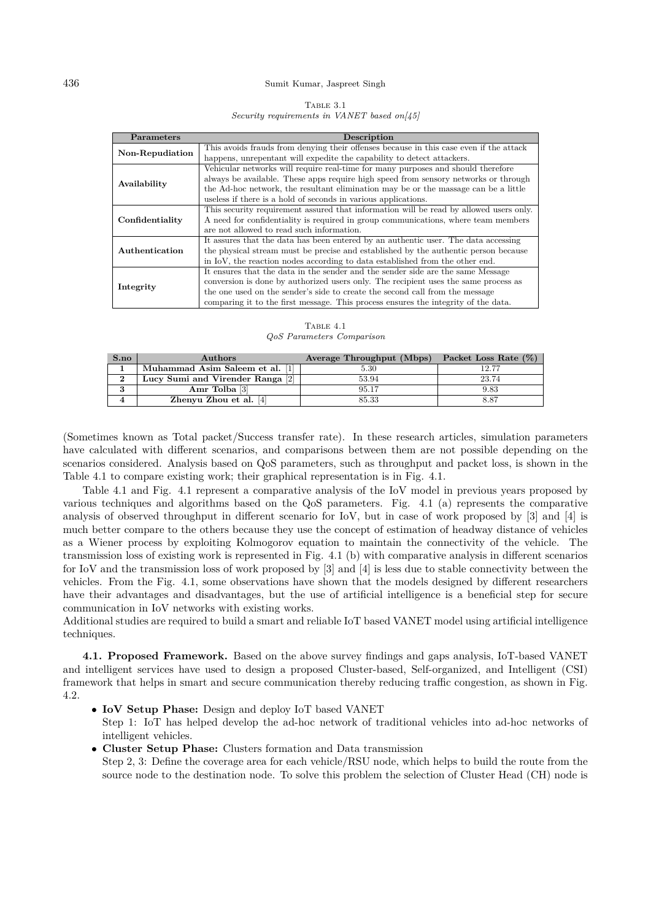| TABLE 3.1                                                |  |  |
|----------------------------------------------------------|--|--|
| Security requirements in VANET based on $\vert 45 \vert$ |  |  |

| Parameters      | Description                                                                            |  |  |
|-----------------|----------------------------------------------------------------------------------------|--|--|
| Non-Repudiation | This avoids frauds from denying their offenses because in this case even if the attack |  |  |
|                 | happens, unrepentant will expedite the capability to detect attackers.                 |  |  |
|                 | Vehicular networks will require real-time for many purposes and should therefore       |  |  |
| Availability    | always be available. These apps require high speed from sensory networks or through    |  |  |
|                 | the Ad-hoc network, the resultant elimination may be or the massage can be a little    |  |  |
|                 | useless if there is a hold of seconds in various applications.                         |  |  |
|                 | This security requirement assured that information will be read by allowed users only. |  |  |
| Confidentiality | A need for confidentiality is required in group communications, where team members     |  |  |
|                 | are not allowed to read such information.                                              |  |  |
|                 | It assures that the data has been entered by an authentic user. The data accessing     |  |  |
| Authentication  | the physical stream must be precise and established by the authentic person because    |  |  |
|                 | in IoV, the reaction nodes according to data established from the other end.           |  |  |
|                 | It ensures that the data in the sender and the sender side are the same Message        |  |  |
| Integrity       | conversion is done by authorized users only. The recipient uses the same process as    |  |  |
|                 | the one used on the sender's side to create the second call from the message           |  |  |
|                 | comparing it to the first message. This process ensures the integrity of the data.     |  |  |

TABLE 4.1 *QoS Parameters Comparison*

| S.no | <b>Authors</b>                   | Average Throughput (Mbps) | Packet Loss Rate $(\%)$ |
|------|----------------------------------|---------------------------|-------------------------|
|      | Muhammad Asim Saleem et al. [1]  | 5.30                      | 12.77                   |
|      | Lucy Sumi and Virender Ranga [2] | 53.94                     | 23.74                   |
|      | Amr Tolba [3]                    | 95.17                     | 9.83                    |
|      | Zhenyu Zhou et al. $[4]$         | 85.33                     |                         |

(Sometimes known as Total packet/Success transfer rate). In these research articles, simulation parameters have calculated with different scenarios, and comparisons between them are not possible depending on the scenarios considered. Analysis based on QoS parameters, such as throughput and packet loss, is shown in the Table 4.1 to compare existing work; their graphical representation is in Fig. 4.1.

Table 4.1 and Fig. 4.1 represent a comparative analysis of the IoV model in previous years proposed by various techniques and algorithms based on the QoS parameters. Fig. 4.1 (a) represents the comparative analysis of observed throughput in different scenario for IoV, but in case of work proposed by [3] and [4] is much better compare to the others because they use the concept of estimation of headway distance of vehicles as a Wiener process by exploiting Kolmogorov equation to maintain the connectivity of the vehicle. The transmission loss of existing work is represented in Fig. 4.1 (b) with comparative analysis in different scenarios for IoV and the transmission loss of work proposed by [3] and [4] is less due to stable connectivity between the vehicles. From the Fig. 4.1, some observations have shown that the models designed by different researchers have their advantages and disadvantages, but the use of artificial intelligence is a beneficial step for secure communication in IoV networks with existing works.

Additional studies are required to build a smart and reliable IoT based VANET model using artificial intelligence techniques.

**4.1. Proposed Framework.** Based on the above survey findings and gaps analysis, IoT-based VANET and intelligent services have used to design a proposed Cluster-based, Self-organized, and Intelligent (CSI) framework that helps in smart and secure communication thereby reducing traffic congestion, as shown in Fig. 4.2.

- **IoV Setup Phase:** Design and deploy IoT based VANET Step 1: IoT has helped develop the ad-hoc network of traditional vehicles into ad-hoc networks of intelligent vehicles.
- **Cluster Setup Phase:** Clusters formation and Data transmission Step 2, 3: Define the coverage area for each vehicle/RSU node, which helps to build the route from the source node to the destination node. To solve this problem the selection of Cluster Head (CH) node is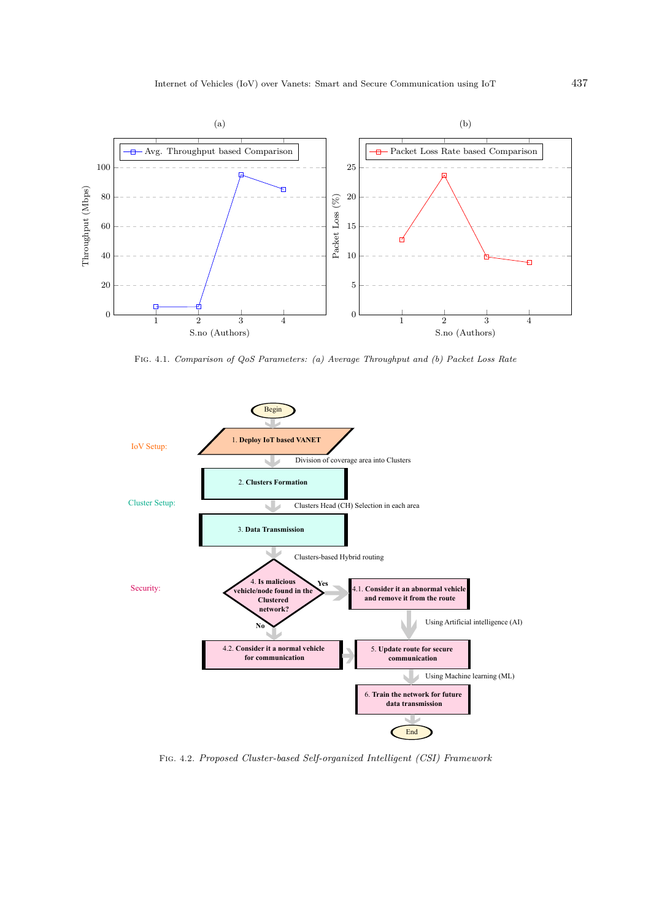

Fig. 4.1. *Comparison of QoS Parameters: (a) Average Throughput and (b) Packet Loss Rate*



Fig. 4.2. *Proposed Cluster-based Self-organized Intelligent (CSI) Framework*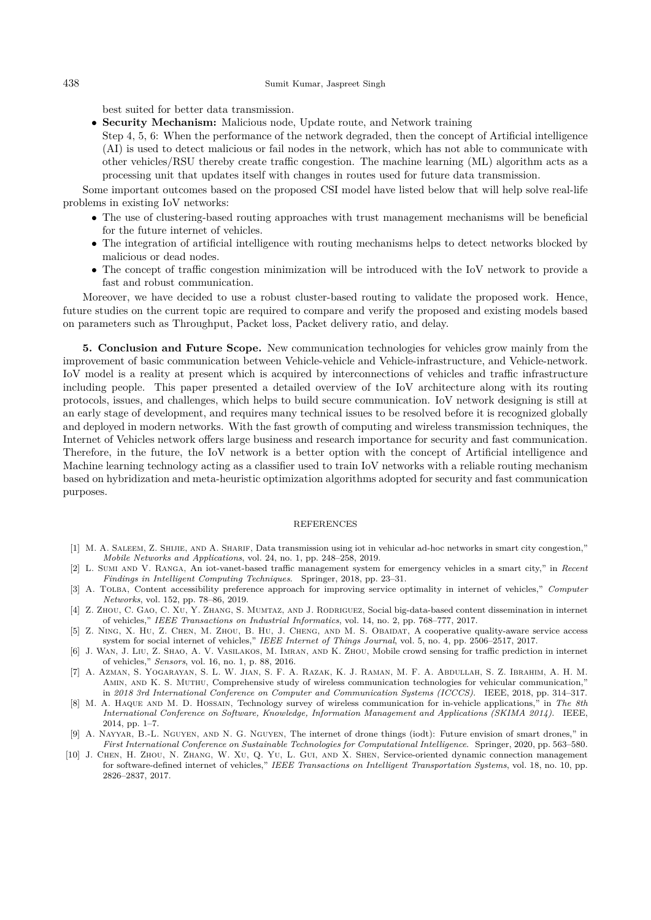best suited for better data transmission.

• **Security Mechanism:** Malicious node, Update route, and Network training

Step 4, 5, 6: When the performance of the network degraded, then the concept of Artificial intelligence (AI) is used to detect malicious or fail nodes in the network, which has not able to communicate with other vehicles/RSU thereby create traffic congestion. The machine learning (ML) algorithm acts as a processing unit that updates itself with changes in routes used for future data transmission.

Some important outcomes based on the proposed CSI model have listed below that will help solve real-life problems in existing IoV networks:

- The use of clustering-based routing approaches with trust management mechanisms will be beneficial for the future internet of vehicles.
- The integration of artificial intelligence with routing mechanisms helps to detect networks blocked by malicious or dead nodes.
- The concept of traffic congestion minimization will be introduced with the IoV network to provide a fast and robust communication.

Moreover, we have decided to use a robust cluster-based routing to validate the proposed work. Hence, future studies on the current topic are required to compare and verify the proposed and existing models based on parameters such as Throughput, Packet loss, Packet delivery ratio, and delay.

**5. Conclusion and Future Scope.** New communication technologies for vehicles grow mainly from the improvement of basic communication between Vehicle-vehicle and Vehicle-infrastructure, and Vehicle-network. IoV model is a reality at present which is acquired by interconnections of vehicles and traffic infrastructure including people. This paper presented a detailed overview of the IoV architecture along with its routing protocols, issues, and challenges, which helps to build secure communication. IoV network designing is still at an early stage of development, and requires many technical issues to be resolved before it is recognized globally and deployed in modern networks. With the fast growth of computing and wireless transmission techniques, the Internet of Vehicles network offers large business and research importance for security and fast communication. Therefore, in the future, the IoV network is a better option with the concept of Artificial intelligence and Machine learning technology acting as a classifier used to train IoV networks with a reliable routing mechanism based on hybridization and meta-heuristic optimization algorithms adopted for security and fast communication purposes.

#### REFERENCES

- [1] M. A. SALEEM, Z. SHIJIE, AND A. SHARIF, Data transmission using iot in vehicular ad-hoc networks in smart city congestion," *Mobile Networks and Applications*, vol. 24, no. 1, pp. 248–258, 2019.
- [2] L. Sumi and V. Ranga, An iot-vanet-based traffic management system for emergency vehicles in a smart city," in *Recent Findings in Intelligent Computing Techniques*. Springer, 2018, pp. 23–31.
- [3] A. Tolba, Content accessibility preference approach for improving service optimality in internet of vehicles," *Computer Networks*, vol. 152, pp. 78–86, 2019.
- [4] Z. Zhou, C. Gao, C. Xu, Y. Zhang, S. Mumtaz, and J. Rodriguez, Social big-data-based content dissemination in internet of vehicles," *IEEE Transactions on Industrial Informatics*, vol. 14, no. 2, pp. 768–777, 2017.
- [5] Z. Ning, X. Hu, Z. Chen, M. Zhou, B. Hu, J. Cheng, and M. S. Obaidat, A cooperative quality-aware service access system for social internet of vehicles," *IEEE Internet of Things Journal*, vol. 5, no. 4, pp. 2506–2517, 2017.
- [6] J. Wan, J. Liu, Z. Shao, A. V. Vasilakos, M. Imran, and K. Zhou, Mobile crowd sensing for traffic prediction in internet of vehicles," *Sensors*, vol. 16, no. 1, p. 88, 2016.
- [7] A. Azman, S. Yogarayan, S. L. W. Jian, S. F. A. Razak, K. J. Raman, M. F. A. Abdullah, S. Z. Ibrahim, A. H. M. Amin, and K. S. Muthu, Comprehensive study of wireless communication technologies for vehicular communication," in *2018 3rd International Conference on Computer and Communication Systems (ICCCS)*. IEEE, 2018, pp. 314–317.
- [8] M. A. Haque and M. D. Hossain, Technology survey of wireless communication for in-vehicle applications," in *The 8th International Conference on Software, Knowledge, Information Management and Applications (SKIMA 2014)*. IEEE, 2014, pp. 1–7.
- [9] A. Nayyar, B.-L. Nguyen, and N. G. Nguyen, The internet of drone things (iodt): Future envision of smart drones," in *First International Conference on Sustainable Technologies for Computational Intelligence*. Springer, 2020, pp. 563–580.
- [10] J. Chen, H. Zhou, N. Zhang, W. Xu, Q. Yu, L. Gui, and X. Shen, Service-oriented dynamic connection management for software-defined internet of vehicles," *IEEE Transactions on Intelligent Transportation Systems*, vol. 18, no. 10, pp. 2826–2837, 2017.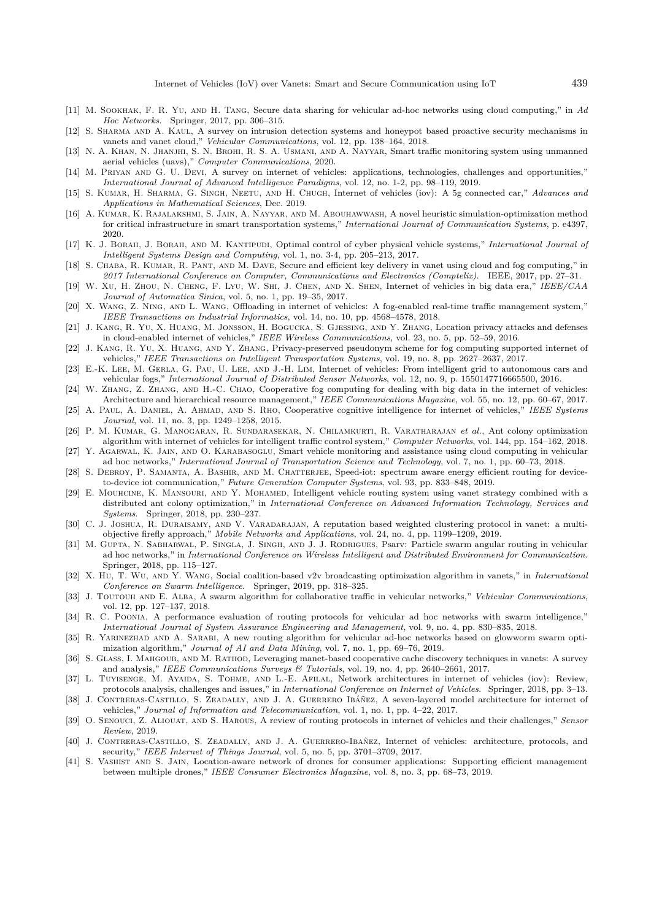- [11] M. Sookhak, F. R. Yu, and H. Tang, Secure data sharing for vehicular ad-hoc networks using cloud computing," in *Ad Hoc Networks*. Springer, 2017, pp. 306–315.
- [12] S. Sharma and A. Kaul, A survey on intrusion detection systems and honeypot based proactive security mechanisms in vanets and vanet cloud," *Vehicular Communications*, vol. 12, pp. 138–164, 2018.
- [13] N. A. Khan, N. Jhanjhi, S. N. Brohi, R. S. A. Usmani, and A. Nayyar, Smart traffic monitoring system using unmanned aerial vehicles (uavs)," *Computer Communications*, 2020.
- [14] M. Priyan and G. U. Devi, A survey on internet of vehicles: applications, technologies, challenges and opportunities," *International Journal of Advanced Intelligence Paradigms*, vol. 12, no. 1-2, pp. 98–119, 2019.
- [15] S. Kumar, H. Sharma, G. Singh, Neetu, and H. Chugh, Internet of vehicles (iov): A 5g connected car," *Advances and Applications in Mathematical Sciences*, Dec. 2019.
- [16] A. Kumar, K. Rajalakshmi, S. Jain, A. Nayyar, and M. Abouhawwash, A novel heuristic simulation-optimization method for critical infrastructure in smart transportation systems," *International Journal of Communication Systems*, p. e4397, 2020.
- [17] K. J. Borah, J. Borah, and M. Kantipudi, Optimal control of cyber physical vehicle systems," *International Journal of Intelligent Systems Design and Computing*, vol. 1, no. 3-4, pp. 205–213, 2017.
- [18] S. CHABA, R. KUMAR, R. PANT, AND M. DAVE, Secure and efficient key delivery in vanet using cloud and fog computing," in *2017 International Conference on Computer, Communications and Electronics (Comptelix)*. IEEE, 2017, pp. 27–31.
- [19] W. Xu, H. Zhou, N. Cheng, F. Lyu, W. Shi, J. Chen, and X. Shen, Internet of vehicles in big data era," *IEEE/CAA Journal of Automatica Sinica*, vol. 5, no. 1, pp. 19–35, 2017.
- [20] X. Wang, Z. Ning, and L. Wang, Offloading in internet of vehicles: A fog-enabled real-time traffic management system," *IEEE Transactions on Industrial Informatics*, vol. 14, no. 10, pp. 4568–4578, 2018.
- [21] J. Kang, R. Yu, X. Huang, M. Jonsson, H. Bogucka, S. Gjessing, and Y. Zhang, Location privacy attacks and defenses in cloud-enabled internet of vehicles," *IEEE Wireless Communications*, vol. 23, no. 5, pp. 52–59, 2016.
- [22] J. Kang, R. Yu, X. Huang, and Y. Zhang, Privacy-preserved pseudonym scheme for fog computing supported internet of vehicles," *IEEE Transactions on Intelligent Transportation Systems*, vol. 19, no. 8, pp. 2627–2637, 2017.
- [23] E.-K. Lee, M. Gerla, G. Pau, U. Lee, and J.-H. Lim, Internet of vehicles: From intelligent grid to autonomous cars and vehicular fogs," *International Journal of Distributed Sensor Networks*, vol. 12, no. 9, p. 1550147716665500, 2016.
- [24] W. Zhang, Z. Zhang, and H.-C. Chao, Cooperative fog computing for dealing with big data in the internet of vehicles: Architecture and hierarchical resource management," *IEEE Communications Magazine*, vol. 55, no. 12, pp. 60–67, 2017.
- [25] A. Paul, A. Daniel, A. Ahmad, and S. Rho, Cooperative cognitive intelligence for internet of vehicles," *IEEE Systems Journal*, vol. 11, no. 3, pp. 1249–1258, 2015.
- [26] P. M. Kumar, G. Manogaran, R. Sundarasekar, N. Chilamkurti, R. Varatharajan *et al.*, Ant colony optimization algorithm with internet of vehicles for intelligent traffic control system," *Computer Networks*, vol. 144, pp. 154–162, 2018.
- [27] Y. AGARWAL, K. JAIN, AND O. KARABASOGLU, Smart vehicle monitoring and assistance using cloud computing in vehicular ad hoc networks," *International Journal of Transportation Science and Technology*, vol. 7, no. 1, pp. 60–73, 2018.
- [28] S. DEBROY, P. SAMANTA, A. BASHIR, AND M. CHATTERJEE, Speed-iot: spectrum aware energy efficient routing for deviceto-device iot communication," *Future Generation Computer Systems*, vol. 93, pp. 833–848, 2019.
- [29] E. MOUHCINE, K. MANSOURI, AND Y. MOHAMED, Intelligent vehicle routing system using vanet strategy combined with a distributed ant colony optimization," in *International Conference on Advanced Information Technology, Services and Systems*. Springer, 2018, pp. 230–237.
- [30] C. J. Joshua, R. Duraisamy, and V. Varadarajan, A reputation based weighted clustering protocol in vanet: a multiobjective firefly approach," *Mobile Networks and Applications*, vol. 24, no. 4, pp. 1199–1209, 2019.
- [31] M. GUPTA, N. SABHARWAL, P. SINGLA, J. SINGH, AND J. J. RODRIGUES, Psarv: Particle swarm angular routing in vehicular ad hoc networks," in *International Conference on Wireless Intelligent and Distributed Environment for Communication*. Springer, 2018, pp. 115–127.
- [32] X. Hu, T. Wu, and Y. Wang, Social coalition-based v2v broadcasting optimization algorithm in vanets," in *International Conference on Swarm Intelligence*. Springer, 2019, pp. 318–325.
- [33] J. Toutouh and E. Alba, A swarm algorithm for collaborative traffic in vehicular networks," *Vehicular Communications*, vol. 12, pp. 127–137, 2018.
- [34] R. C. Poonia, A performance evaluation of routing protocols for vehicular ad hoc networks with swarm intelligence," *International Journal of System Assurance Engineering and Management*, vol. 9, no. 4, pp. 830–835, 2018.
- [35] R. YARINEZHAD AND A. SARABI, A new routing algorithm for vehicular ad-hoc networks based on glowworm swarm optimization algorithm," *Journal of AI and Data Mining*, vol. 7, no. 1, pp. 69–76, 2019.
- [36] S. GLASS, I. MAHGOUB, AND M. RATHOD, Leveraging manet-based cooperative cache discovery techniques in vanets: A survey and analysis," *IEEE Communications Surveys & Tutorials*, vol. 19, no. 4, pp. 2640–2661, 2017.
- [37] L. TUYISENGE, M. AYAIDA, S. TOHME, AND L.-E. AFILAL, Network architectures in internet of vehicles (iov): Review, protocols analysis, challenges and issues," in *International Conference on Internet of Vehicles*. Springer, 2018, pp. 3–13.
- [38] J. Contreras-Castillo, S. Zeadally, and J. A. Guerrero Ibáñez, A seven-layered model architecture for internet of vehicles," *Journal of Information and Telecommunication*, vol. 1, no. 1, pp. 4–22, 2017.
- [39] O. Senouci, Z. Aliouat, and S. Harous, A review of routing protocols in internet of vehicles and their challenges," *Sensor Review*, 2019.
- [40] J. CONTRERAS-CASTILLO, S. ZEADALLY, AND J. A. GUERRERO-IBAÑEZ, Internet of vehicles: architecture, protocols, and security," *IEEE Internet of Things Journal*, vol. 5, no. 5, pp. 3701–3709, 2017.
- [41] S. Vashist and S. Jain, Location-aware network of drones for consumer applications: Supporting efficient management between multiple drones," *IEEE Consumer Electronics Magazine*, vol. 8, no. 3, pp. 68–73, 2019.